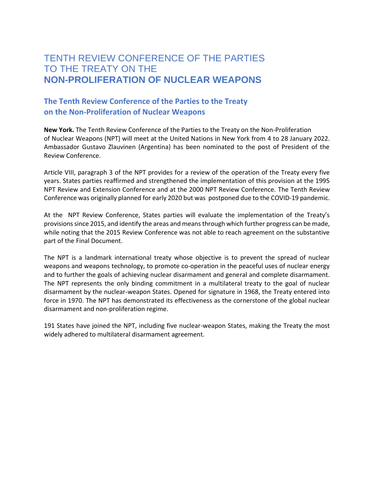## TENTH REVIEW CONFERENCE OF THE PARTIES TO THE TREATY ON THE **NON-PROLIFERATION OF NUCLEAR WEAPONS**

## **The Tenth Review Conference of the Parties to the Treaty on the Non-Proliferation of Nuclear Weapons**

**New York.** The Tenth Review Conference of the Parties to the Treaty on the Non-Proliferation of Nuclear Weapons (NPT) will meet at the United Nations in New York from 4 to 28 January 2022. Ambassador Gustavo Zlauvinen (Argentina) has been nominated to the post of President of the Review Conference.

Article VIII, paragraph 3 of the NPT provides for a review of the operation of the Treaty every five years. States parties reaffirmed and strengthened the implementation of this provision at the 1995 NPT Review and Extension Conference and at the 2000 NPT Review Conference. The Tenth Review Conference was originally planned for early 2020 but was postponed due to the COVID-19 pandemic.

At the NPT Review Conference, States parties will evaluate the implementation of the Treaty's provisions since 2015, and identify the areas and means through which further progress can be made, while noting that the 2015 Review Conference was not able to reach agreement on the substantive part of the Final Document.

The NPT is a landmark international treaty whose objective is to prevent the spread of nuclear weapons and weapons technology, to promote co-operation in the peaceful uses of nuclear energy and to further the goals of achieving nuclear disarmament and general and complete disarmament. The NPT represents the only binding commitment in a multilateral treaty to the goal of nuclear disarmament by the nuclear-weapon States. Opened for signature in 1968, the Treaty entered into force in 1970. The NPT has demonstrated its effectiveness as the cornerstone of the global nuclear disarmament and non-proliferation regime.

191 States have joined the NPT, including five nuclear-weapon States, making the Treaty the most widely adhered to multilateral disarmament agreement.